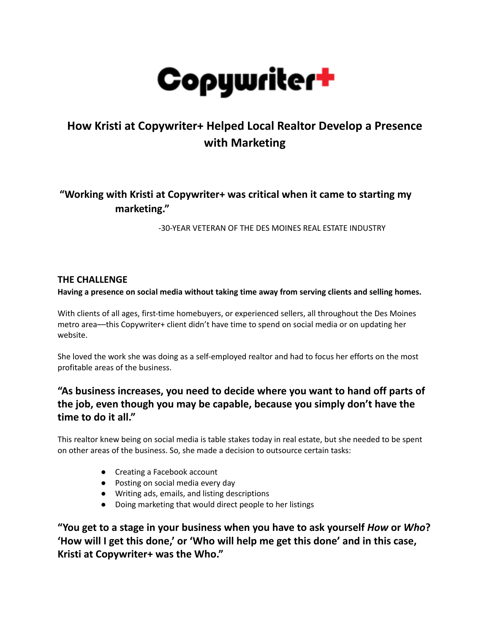

# **How Kristi at Copywriter+ Helped Local Realtor Develop a Presence with Marketing**

## **"Working with Kristi at Copywriter+ was critical when it came to starting my marketing."**

-30-YEAR VETERAN OF THE DES MOINES REAL ESTATE INDUSTRY

### **THE CHALLENGE**

**Having a presence on social media without taking time away from serving clients and selling homes.**

With clients of all ages, first-time homebuyers, or experienced sellers, all throughout the Des Moines metro area––this Copywriter+ client didn't have time to spend on social media or on updating her website.

She loved the work she was doing as a self-employed realtor and had to focus her efforts on the most profitable areas of the business.

### **"As business increases, you need to decide where you want to hand off parts of the job, even though you may be capable, because you simply don't have the time to do it all."**

This realtor knew being on social media is table stakes today in real estate, but she needed to be spent on other areas of the business. So, she made a decision to outsource certain tasks:

- Creating a Facebook account
- Posting on social media every day
- Writing ads, emails, and listing descriptions
- Doing marketing that would direct people to her listings

**"You get to a stage in your business when you have to ask yourself** *How* **or** *Who***? 'How will I get this done,' or 'Who will help me get this done' and in this case, Kristi at Copywriter+ was the Who."**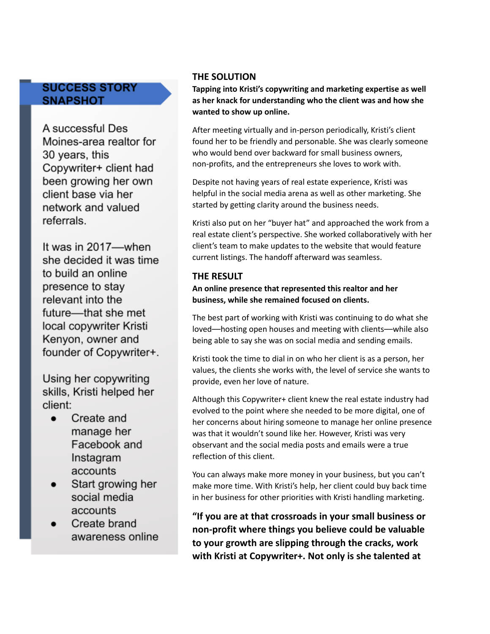### **SUCCESS STORY SNAPSHOT**

A successful Des Moines-area realtor for 30 years, this Copywriter+ client had been growing her own client base via her network and valued referrals.

It was in 2017-when she decided it was time to build an online presence to stay relevant into the future-that she met local copywriter Kristi Kenyon, owner and founder of Copywriter+.

Using her copywriting skills, Kristi helped her client:

- $\bullet$ Create and manage her Facebook and Instagram accounts
- Start growing her social media accounts
- Create brand awareness online

### **THE SOLUTION**

**Tapping into Kristi's copywriting and marketing expertise as well as her knack for understanding who the client was and how she wanted to show up online.**

After meeting virtually and in-person periodically, Kristi's client found her to be friendly and personable. She was clearly someone who would bend over backward for small business owners, non-profits, and the entrepreneurs she loves to work with.

Despite not having years of real estate experience, Kristi was helpful in the social media arena as well as other marketing. She started by getting clarity around the business needs.

Kristi also put on her "buyer hat" and approached the work from a real estate client's perspective. She worked collaboratively with her client's team to make updates to the website that would feature current listings. The handoff afterward was seamless.

### **THE RESULT**

**An online presence that represented this realtor and her business, while she remained focused on clients.**

The best part of working with Kristi was continuing to do what she loved––hosting open houses and meeting with clients––while also being able to say she was on social media and sending emails.

Kristi took the time to dial in on who her client is as a person, her values, the clients she works with, the level of service she wants to provide, even her love of nature.

Although this Copywriter+ client knew the real estate industry had evolved to the point where she needed to be more digital, one of her concerns about hiring someone to manage her online presence was that it wouldn't sound like her. However, Kristi was very observant and the social media posts and emails were a true reflection of this client.

You can always make more money in your business, but you can't make more time. With Kristi's help, her client could buy back time in her business for other priorities with Kristi handling marketing.

**"If you are at that crossroads in your small business or non-profit where things you believe could be valuable to your growth are slipping through the cracks, work with Kristi at Copywriter+. Not only is she talented at**